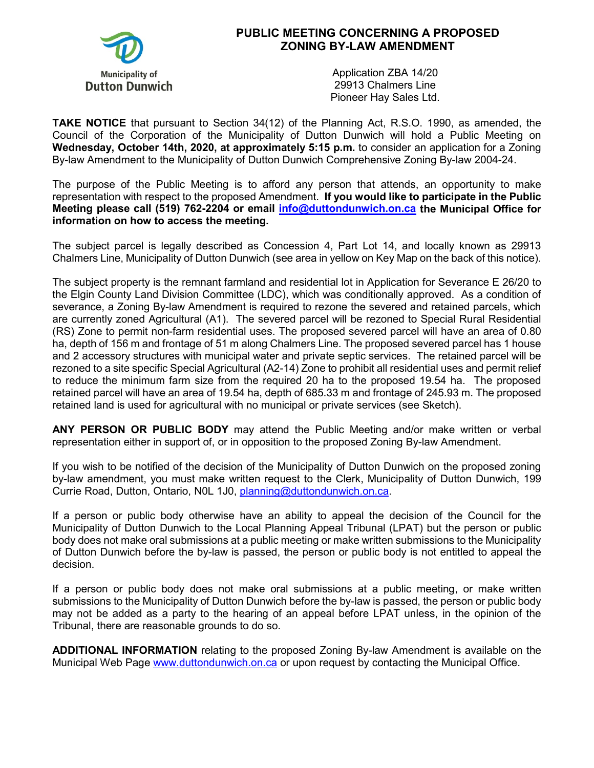

## **PUBLIC MEETING CONCERNING A PROPOSED ZONING BY-LAW AMENDMENT**

Application ZBA 14/20 29913 Chalmers Line Pioneer Hay Sales Ltd.

**TAKE NOTICE** that pursuant to Section 34(12) of the Planning Act, R.S.O. 1990, as amended, the Council of the Corporation of the Municipality of Dutton Dunwich will hold a Public Meeting on **Wednesday, October 14th, 2020, at approximately 5:15 p.m.** to consider an application for a Zoning By-law Amendment to the Municipality of Dutton Dunwich Comprehensive Zoning By-law 2004-24.

The purpose of the Public Meeting is to afford any person that attends, an opportunity to make representation with respect to the proposed Amendment. **If you would like to participate in the Public Meeting please call (519) 762-2204 or email [info@duttondunwich.on.ca](mailto:info@duttondunwich.on.ca) the Municipal Office for information on how to access the meeting.**

The subject parcel is legally described as Concession 4, Part Lot 14, and locally known as 29913 Chalmers Line, Municipality of Dutton Dunwich (see area in yellow on Key Map on the back of this notice).

The subject property is the remnant farmland and residential lot in Application for Severance E 26/20 to the Elgin County Land Division Committee (LDC), which was conditionally approved. As a condition of severance, a Zoning By-law Amendment is required to rezone the severed and retained parcels, which are currently zoned Agricultural (A1). The severed parcel will be rezoned to Special Rural Residential (RS) Zone to permit non-farm residential uses. The proposed severed parcel will have an area of 0.80 ha, depth of 156 m and frontage of 51 m along Chalmers Line. The proposed severed parcel has 1 house and 2 accessory structures with municipal water and private septic services. The retained parcel will be rezoned to a site specific Special Agricultural (A2-14) Zone to prohibit all residential uses and permit relief to reduce the minimum farm size from the required 20 ha to the proposed 19.54 ha. The proposed retained parcel will have an area of 19.54 ha, depth of 685.33 m and frontage of 245.93 m. The proposed retained land is used for agricultural with no municipal or private services (see Sketch).

**ANY PERSON OR PUBLIC BODY** may attend the Public Meeting and/or make written or verbal representation either in support of, or in opposition to the proposed Zoning By-law Amendment.

If you wish to be notified of the decision of the Municipality of Dutton Dunwich on the proposed zoning by-law amendment, you must make written request to the Clerk, Municipality of Dutton Dunwich, 199 Currie Road, Dutton, Ontario, N0L 1J0, [planning@duttondunwich.on.ca.](mailto:planning@duttondunwich.on.ca)

If a person or public body otherwise have an ability to appeal the decision of the Council for the Municipality of Dutton Dunwich to the Local Planning Appeal Tribunal (LPAT) but the person or public body does not make oral submissions at a public meeting or make written submissions to the Municipality of Dutton Dunwich before the by-law is passed, the person or public body is not entitled to appeal the decision.

If a person or public body does not make oral submissions at a public meeting, or make written submissions to the Municipality of Dutton Dunwich before the by-law is passed, the person or public body may not be added as a party to the hearing of an appeal before LPAT unless, in the opinion of the Tribunal, there are reasonable grounds to do so.

**ADDITIONAL INFORMATION** relating to the proposed Zoning By-law Amendment is available on the Municipal Web Page [www.duttondunwich.on.ca](http://www.duttondunwich.on.ca/) or upon request by contacting the Municipal Office.